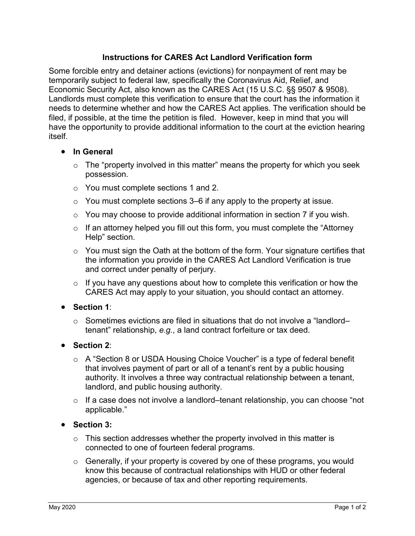## **Instructions for CARES Act Landlord Verification form**

Some forcible entry and detainer actions (evictions) for nonpayment of rent may be temporarily subject to federal law, specifically the Coronavirus Aid, Relief, and Economic Security Act, also known as the CARES Act (15 U.S.C. §§ 9507 & 9508). Landlords must complete this verification to ensure that the court has the information it needs to determine whether and how the CARES Act applies. The verification should be filed, if possible, at the time the petition is filed. However, keep in mind that you will have the opportunity to provide additional information to the court at the eviction hearing itself.

#### **In General**

- $\circ$  The "property involved in this matter" means the property for which you seek possession.
- o You must complete sections 1 and 2.
- $\circ$  You must complete sections 3–6 if any apply to the property at issue.
- $\circ$  You may choose to provide additional information in section 7 if you wish.
- $\circ$  If an attorney helped you fill out this form, you must complete the "Attorney" Help" section.
- $\circ$  You must sign the Oath at the bottom of the form. Your signature certifies that the information you provide in the CARES Act Landlord Verification is true and correct under penalty of perjury.
- $\circ$  If you have any questions about how to complete this verification or how the CARES Act may apply to your situation, you should contact an attorney.
- **Section 1**:
	- $\circ$  Sometimes evictions are filed in situations that do not involve a "landlordtenant" relationship, *e.g.*, a land contract forfeiture or tax deed.

### **Section 2**:

- o A "Section 8 or USDA Housing Choice Voucher" is a type of federal benefit that involves payment of part or all of a tenant's rent by a public housing authority. It involves a three way contractual relationship between a tenant, landlord, and public housing authority.
- $\circ$  If a case does not involve a landlord–tenant relationship, you can choose "not applicable."

### **Section 3:**

- $\circ$  This section addresses whether the property involved in this matter is connected to one of fourteen federal programs.
- $\circ$  Generally, if your property is covered by one of these programs, you would know this because of contractual relationships with HUD or other federal agencies, or because of tax and other reporting requirements.